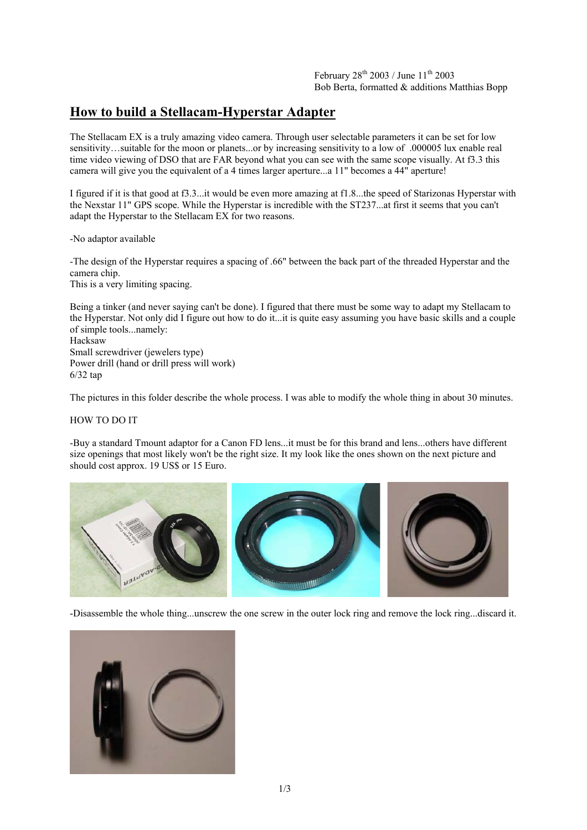## **How to build a Stellacam-Hyperstar Adapter**

The Stellacam EX is a truly amazing video camera. Through user selectable parameters it can be set for low sensitivity…suitable for the moon or planets...or by increasing sensitivity to a low of .000005 lux enable real time video viewing of DSO that are FAR beyond what you can see with the same scope visually. At f3.3 this camera will give you the equivalent of a 4 times larger aperture...a 11" becomes a 44" aperture!

I figured if it is that good at f3.3...it would be even more amazing at f1.8...the speed of Starizonas Hyperstar with the Nexstar 11" GPS scope. While the Hyperstar is incredible with the ST237...at first it seems that you can't adapt the Hyperstar to the Stellacam EX for two reasons.

-No adaptor available

-The design of the Hyperstar requires a spacing of .66" between the back part of the threaded Hyperstar and the camera chip.

This is a very limiting spacing.

Being a tinker (and never saying can't be done). I figured that there must be some way to adapt my Stellacam to the Hyperstar. Not only did I figure out how to do it...it is quite easy assuming you have basic skills and a couple of simple tools...namely: Hacksaw

Small screwdriver (jewelers type) Power drill (hand or drill press will work) 6/32 tap

The pictures in this folder describe the whole process. I was able to modify the whole thing in about 30 minutes.

HOW TO DO IT

-Buy a standard Tmount adaptor for a Canon FD lens...it must be for this brand and lens...others have different size openings that most likely won't be the right size. It my look like the ones shown on the next picture and should cost approx. 19 US\$ or 15 Euro.



-Disassemble the whole thing...unscrew the one screw in the outer lock ring and remove the lock ring...discard it.

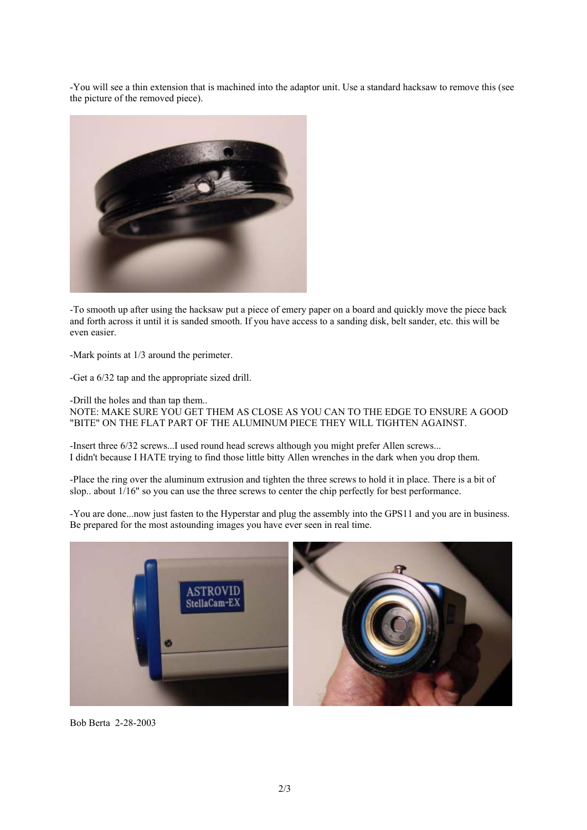-You will see a thin extension that is machined into the adaptor unit. Use a standard hacksaw to remove this (see the picture of the removed piece).



-To smooth up after using the hacksaw put a piece of emery paper on a board and quickly move the piece back and forth across it until it is sanded smooth. If you have access to a sanding disk, belt sander, etc. this will be even easier.

-Mark points at 1/3 around the perimeter.

-Get a 6/32 tap and the appropriate sized drill.

-Drill the holes and than tap them..

NOTE: MAKE SURE YOU GET THEM AS CLOSE AS YOU CAN TO THE EDGE TO ENSURE A GOOD "BITE" ON THE FLAT PART OF THE ALUMINUM PIECE THEY WILL TIGHTEN AGAINST.

-Insert three 6/32 screws...I used round head screws although you might prefer Allen screws... I didn't because I HATE trying to find those little bitty Allen wrenches in the dark when you drop them.

-Place the ring over the aluminum extrusion and tighten the three screws to hold it in place. There is a bit of slop.. about 1/16" so you can use the three screws to center the chip perfectly for best performance.

-You are done...now just fasten to the Hyperstar and plug the assembly into the GPS11 and you are in business. Be prepared for the most astounding images you have ever seen in real time.



Bob Berta 2-28-2003